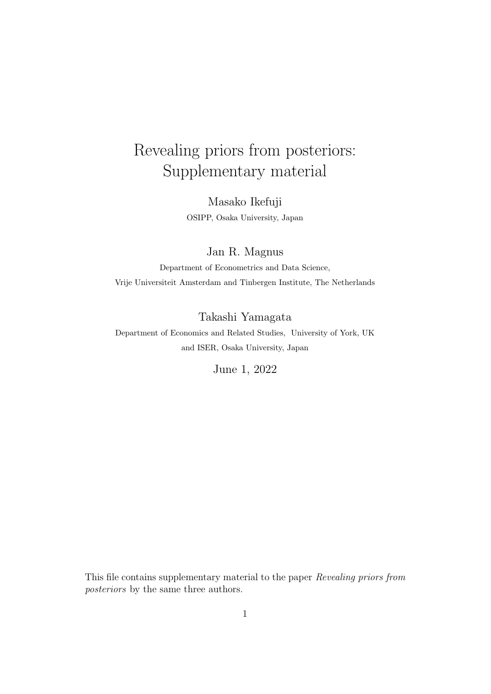# Revealing priors from posteriors: Supplementary material

Masako Ikefuji OSIPP, Osaka University, Japan

Jan R. Magnus

Department of Econometrics and Data Science, Vrije Universiteit Amsterdam and Tinbergen Institute, The Netherlands

Takashi Yamagata

Department of Economics and Related Studies, University of York, UK and ISER, Osaka University, Japan

June 1, 2022

This file contains supplementary material to the paper *Revealing priors from posteriors* by the same three authors.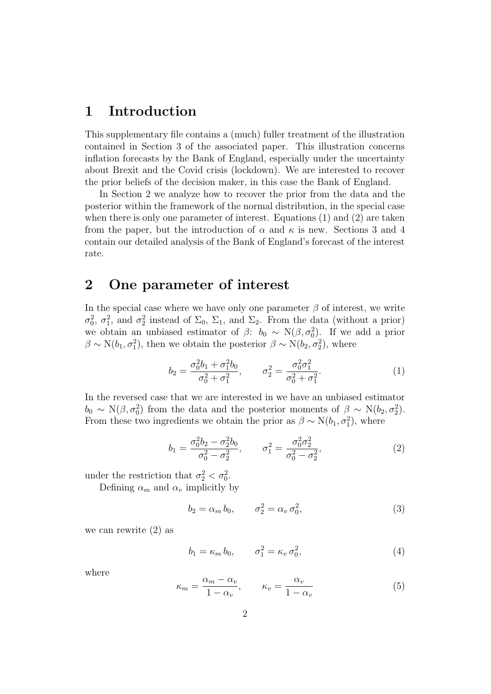# **1 Introduction**

This supplementary file contains a (much) fuller treatment of the illustration contained in Section 3 of the associated paper. This illustration concerns inflation forecasts by the Bank of England, especially under the uncertainty about Brexit and the Covid crisis (lockdown). We are interested to recover the prior beliefs of the decision maker, in this case the Bank of England.

In Section 2 we analyze how to recover the prior from the data and the posterior within the framework of the normal distribution, in the special case when there is only one parameter of interest. Equations (1) and (2) are taken from the paper, but the introduction of  $\alpha$  and  $\kappa$  is new. Sections 3 and 4 contain our detailed analysis of the Bank of England's forecast of the interest rate.

# **2 One parameter of interest**

In the special case where we have only one parameter  $\beta$  of interest, we write  $\sigma_0^2$ ,  $\sigma_1^2$ , and  $\sigma_2^2$  instead of  $\Sigma_0$ ,  $\Sigma_1$ , and  $\Sigma_2$ . From the data (without a prior) we obtain an unbiased estimator of  $\beta$ :  $b_0 \sim N(\beta, \sigma_0^2)$ . If we add a prior  $\beta \sim N(b_1, \sigma_1^2)$ , then we obtain the posterior  $\beta \sim N(b_2, \sigma_2^2)$ , where

$$
b_2 = \frac{\sigma_0^2 b_1 + \sigma_1^2 b_0}{\sigma_0^2 + \sigma_1^2}, \qquad \sigma_2^2 = \frac{\sigma_0^2 \sigma_1^2}{\sigma_0^2 + \sigma_1^2}.
$$
 (1)

In the reversed case that we are interested in we have an unbiased estimator  $b_0 \sim N(\beta, \sigma_0^2)$  from the data and the posterior moments of  $\beta \sim N(b_2, \sigma_2^2)$ . From these two ingredients we obtain the prior as  $\beta \sim N(b_1, \sigma_1^2)$ , where

$$
b_1 = \frac{\sigma_0^2 b_2 - \sigma_2^2 b_0}{\sigma_0^2 - \sigma_2^2}, \qquad \sigma_1^2 = \frac{\sigma_0^2 \sigma_2^2}{\sigma_0^2 - \sigma_2^2},
$$
 (2)

under the restriction that  $\sigma_2^2 < \sigma_0^2$ .

Defining  $\alpha_m$  and  $\alpha_v$  implicitly by

$$
b_2 = \alpha_m b_0, \qquad \sigma_2^2 = \alpha_v \sigma_0^2,\tag{3}
$$

we can rewrite (2) as

$$
b_1 = \kappa_m b_0, \qquad \sigma_1^2 = \kappa_v \sigma_0^2,\tag{4}
$$

where

$$
\kappa_m = \frac{\alpha_m - \alpha_v}{1 - \alpha_v}, \qquad \kappa_v = \frac{\alpha_v}{1 - \alpha_v} \tag{5}
$$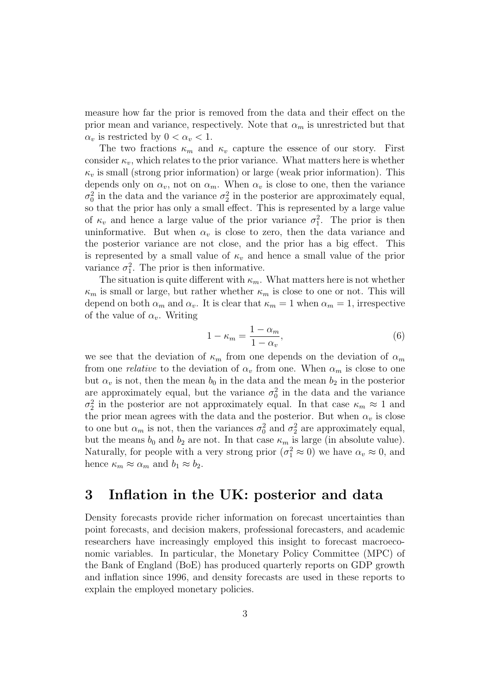measure how far the prior is removed from the data and their effect on the prior mean and variance, respectively. Note that  $\alpha_m$  is unrestricted but that *α*<sup>*v*</sup> is restricted by  $0 < α$ <sup>*v*</sup>  $< 1$ .

The two fractions  $\kappa_m$  and  $\kappa_v$  capture the essence of our story. First consider  $\kappa_v$ , which relates to the prior variance. What matters here is whether  $\kappa_v$  is small (strong prior information) or large (weak prior information). This depends only on  $\alpha_v$ , not on  $\alpha_m$ . When  $\alpha_v$  is close to one, then the variance  $\sigma_0^2$  in the data and the variance  $\sigma_2^2$  in the posterior are approximately equal, so that the prior has only a small effect. This is represented by a large value of  $\kappa_v$  and hence a large value of the prior variance  $\sigma_1^2$ . The prior is then uninformative. But when  $\alpha_v$  is close to zero, then the data variance and the posterior variance are not close, and the prior has a big effect. This is represented by a small value of  $\kappa_v$  and hence a small value of the prior variance  $\sigma_1^2$ . The prior is then informative.

The situation is quite different with  $\kappa_m$ . What matters here is not whether  $\kappa_m$  is small or large, but rather whether  $\kappa_m$  is close to one or not. This will depend on both  $\alpha_m$  and  $\alpha_v$ . It is clear that  $\kappa_m = 1$  when  $\alpha_m = 1$ , irrespective of the value of  $\alpha_v$ . Writing

$$
1 - \kappa_m = \frac{1 - \alpha_m}{1 - \alpha_v},\tag{6}
$$

we see that the deviation of  $\kappa_m$  from one depends on the deviation of  $\alpha_m$ from one *relative* to the deviation of  $\alpha_v$  from one. When  $\alpha_m$  is close to one but  $\alpha_v$  is not, then the mean  $b_0$  in the data and the mean  $b_2$  in the posterior are approximately equal, but the variance  $\sigma_0^2$  in the data and the variance  $\sigma_2^2$  in the posterior are not approximately equal. In that case  $\kappa_m \approx 1$  and the prior mean agrees with the data and the posterior. But when  $\alpha_v$  is close to one but  $\alpha_m$  is not, then the variances  $\sigma_0^2$  and  $\sigma_2^2$  are approximately equal, but the means  $b_0$  and  $b_2$  are not. In that case  $\kappa_m$  is large (in absolute value). Naturally, for people with a very strong prior  $(\sigma_1^2 \approx 0)$  we have  $\alpha_v \approx 0$ , and hence  $\kappa_m \approx \alpha_m$  and  $b_1 \approx b_2$ .

# **3 Inflation in the UK: posterior and data**

Density forecasts provide richer information on forecast uncertainties than point forecasts, and decision makers, professional forecasters, and academic researchers have increasingly employed this insight to forecast macroeconomic variables. In particular, the Monetary Policy Committee (MPC) of the Bank of England (BoE) has produced quarterly reports on GDP growth and inflation since 1996, and density forecasts are used in these reports to explain the employed monetary policies.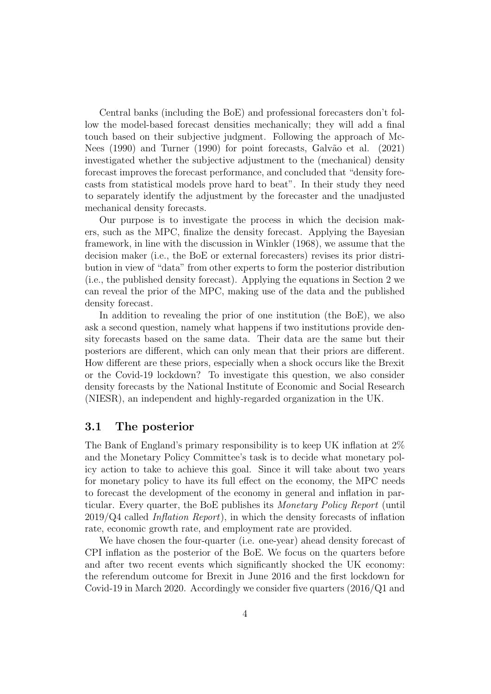Central banks (including the BoE) and professional forecasters don't follow the model-based forecast densities mechanically; they will add a final touch based on their subjective judgment. Following the approach of Mc-Nees (1990) and Turner (1990) for point forecasts, Galvão et al. (2021) investigated whether the subjective adjustment to the (mechanical) density forecast improves the forecast performance, and concluded that "density forecasts from statistical models prove hard to beat". In their study they need to separately identify the adjustment by the forecaster and the unadjusted mechanical density forecasts.

Our purpose is to investigate the process in which the decision makers, such as the MPC, finalize the density forecast. Applying the Bayesian framework, in line with the discussion in Winkler (1968), we assume that the decision maker (i.e., the BoE or external forecasters) revises its prior distribution in view of "data" from other experts to form the posterior distribution (i.e., the published density forecast). Applying the equations in Section 2 we can reveal the prior of the MPC, making use of the data and the published density forecast.

In addition to revealing the prior of one institution (the BoE), we also ask a second question, namely what happens if two institutions provide density forecasts based on the same data. Their data are the same but their posteriors are different, which can only mean that their priors are different. How different are these priors, especially when a shock occurs like the Brexit or the Covid-19 lockdown? To investigate this question, we also consider density forecasts by the National Institute of Economic and Social Research (NIESR), an independent and highly-regarded organization in the UK.

#### **3.1 The posterior**

The Bank of England's primary responsibility is to keep UK inflation at 2% and the Monetary Policy Committee's task is to decide what monetary policy action to take to achieve this goal. Since it will take about two years for monetary policy to have its full effect on the economy, the MPC needs to forecast the development of the economy in general and inflation in particular. Every quarter, the BoE publishes its *Monetary Policy Report* (until 2019/Q4 called *Inflation Report*), in which the density forecasts of inflation rate, economic growth rate, and employment rate are provided.

We have chosen the four-quarter (i.e. one-year) ahead density forecast of CPI inflation as the posterior of the BoE. We focus on the quarters before and after two recent events which significantly shocked the UK economy: the referendum outcome for Brexit in June 2016 and the first lockdown for Covid-19 in March 2020. Accordingly we consider five quarters (2016/Q1 and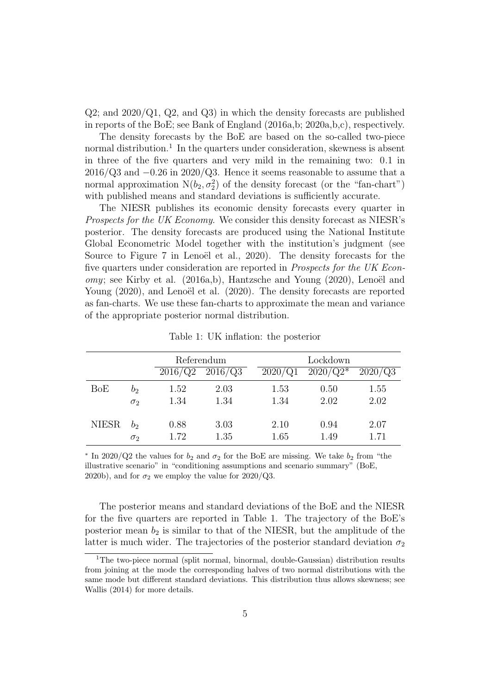$Q2$ ; and  $2020/Q1$ ,  $Q2$ , and  $Q3$ ) in which the density forecasts are published in reports of the BoE; see Bank of England (2016a,b; 2020a,b,c), respectively.

The density forecasts by the BoE are based on the so-called two-piece normal distribution.<sup>1</sup> In the quarters under consideration, skewness is absent in three of the five quarters and very mild in the remaining two: 0*.*1 in 2016/Q3 and *−*0*.*26 in 2020/Q3. Hence it seems reasonable to assume that a normal approximation  $N(b_2, \sigma_2^2)$  of the density forecast (or the "fan-chart") with published means and standard deviations is sufficiently accurate.

The NIESR publishes its economic density forecasts every quarter in *Prospects for the UK Economy*. We consider this density forecast as NIESR's posterior. The density forecasts are produced using the National Institute Global Econometric Model together with the institution's judgment (see Source to Figure 7 in Lenoël et al., 2020). The density forecasts for the five quarters under consideration are reported in *Prospects for the UK Economy*; see Kirby et al. (2016a,b), Hantzsche and Young (2020), Lenoël and Young (2020), and Lenoël et al. (2020). The density forecasts are reported as fan-charts. We use these fan-charts to approximate the mean and variance of the appropriate posterior normal distribution.

|              |            | 2016/Q2 | Referendum<br>2016/Q3 | Lockdown<br>$2020/Q2*$<br>2020/Q1<br>2020/Q3 |      |      |  |  |
|--------------|------------|---------|-----------------------|----------------------------------------------|------|------|--|--|
| BoE          | $b_2$      | 1.52    | 2.03                  | 1.53                                         | 0.50 | 1.55 |  |  |
|              | $\sigma_2$ | 1.34    | 1.34                  | 1.34                                         | 2.02 | 2.02 |  |  |
| <b>NIESR</b> | $b_2$      | 0.88    | 3.03                  | 2.10                                         | 0.94 | 2.07 |  |  |
|              | $\sigma_2$ | 1.72    | 1.35                  | 1.65                                         | 1.49 | 1.71 |  |  |

Table 1: UK inflation: the posterior

*∗* In 2020/Q2 the values for *b*<sub>2</sub> and *σ*<sub>2</sub> for the BoE are missing. We take *b*<sub>2</sub> from "the illustrative scenario" in "conditioning assumptions and scenario summary" (BoE, 2020b), and for  $\sigma_2$  we employ the value for 2020/Q3.

The posterior means and standard deviations of the BoE and the NIESR for the five quarters are reported in Table 1. The trajectory of the BoE's posterior mean  $b_2$  is similar to that of the NIESR, but the amplitude of the latter is much wider. The trajectories of the posterior standard deviation  $\sigma_2$ 

<sup>&</sup>lt;sup>1</sup>The two-piece normal (split normal, binormal, double-Gaussian) distribution results from joining at the mode the corresponding halves of two normal distributions with the same mode but different standard deviations. This distribution thus allows skewness; see Wallis (2014) for more details.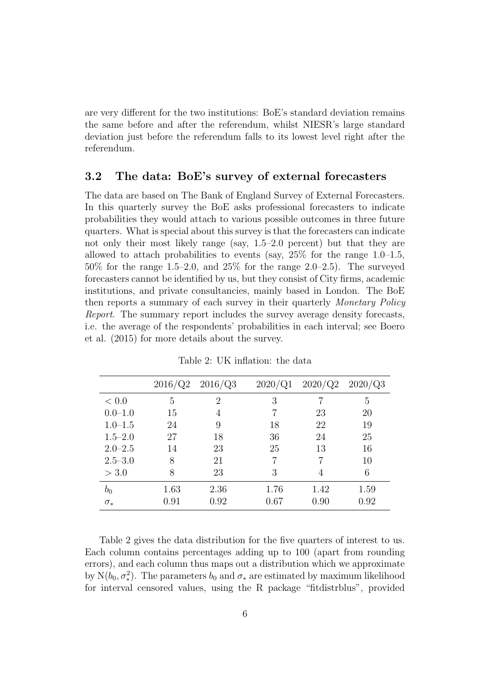are very different for the two institutions: BoE's standard deviation remains the same before and after the referendum, whilst NIESR's large standard deviation just before the referendum falls to its lowest level right after the referendum.

## **3.2 The data: BoE's survey of external forecasters**

The data are based on The Bank of England Survey of External Forecasters. In this quarterly survey the BoE asks professional forecasters to indicate probabilities they would attach to various possible outcomes in three future quarters. What is special about this survey is that the forecasters can indicate not only their most likely range (say, 1.5–2.0 percent) but that they are allowed to attach probabilities to events (say,  $25\%$  for the range 1.0–1.5, 50% for the range 1.5–2.0, and 25% for the range 2.0–2.5). The surveyed forecasters cannot be identified by us, but they consist of City firms, academic institutions, and private consultancies, mainly based in London. The BoE then reports a summary of each survey in their quarterly *Monetary Policy Report*. The summary report includes the survey average density forecasts, i.e. the average of the respondents' probabilities in each interval; see Boero et al. (2015) for more details about the survey.

|             | 2016/Q2 | 2016/Q3 | 2020/Q1 | 2020/Q2 | 2020/Q3 |
|-------------|---------|---------|---------|---------|---------|
| < 0.0       | 5       | 2       | 3       |         | 5       |
| $0.0 - 1.0$ | 15      | 4       |         | 23      | 20      |
| $1.0 - 1.5$ | 24      | 9       | 18      | 22      | 19      |
| $1.5 - 2.0$ | 27      | 18      | 36      | 24      | 25      |
| $2.0 - 2.5$ | 14      | 23      | 25      | 13      | 16      |
| $2.5 - 3.0$ | 8       | 21      |         |         | 10      |
| > 3.0       | 8       | 23      | 3       | 4       | 6       |
| $b_{0}$     | 1.63    | 2.36    | 1.76    | 1.42    | 1.59    |
| $\sigma_*$  | 0.91    | 0.92    | 0.67    | 0.90    | 0.92    |

Table 2: UK inflation: the data

Table 2 gives the data distribution for the five quarters of interest to us. Each column contains percentages adding up to 100 (apart from rounding errors), and each column thus maps out a distribution which we approximate by  $N(b_0, \sigma^2_*)$ . The parameters  $b_0$  and  $\sigma_*$  are estimated by maximum likelihood for interval censored values, using the R package "fitdistrblus", provided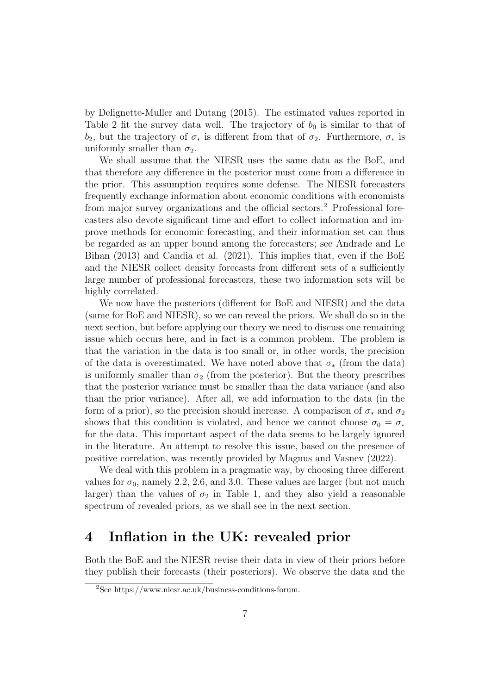by Delignette-Muller and Dutang (2015). The estimated values reported in Table 2 fit the survey data well. The trajectory of  $b_0$  is similar to that of *b*<sub>2</sub>, but the trajectory of  $\sigma_*$  is different from that of  $\sigma_2$ . Furthermore,  $\sigma_*$  is uniformly smaller than  $\sigma_2$ .

We shall assume that the NIESR uses the same data as the BoE, and that therefore any difference in the posterior must come from a difference in the prior. This assumption requires some defense. The NIESR forecasters frequently exchange information about economic conditions with economists from major survey organizations and the official sectors.<sup>2</sup> Professional forecasters also devote significant time and effort to collect information and improve methods for economic forecasting, and their information set can thus be regarded as an upper bound among the forecasters; see Andrade and Le Bihan (2013) and Candia et al. (2021). This implies that, even if the BoE and the NIESR collect density forecasts from different sets of a sufficiently large number of professional forecasters, these two information sets will be highly correlated.

We now have the posteriors (different for BoE and NIESR) and the data (same for BoE and NIESR), so we can reveal the priors. We shall do so in the next section, but before applying our theory we need to discuss one remaining issue which occurs here, and in fact is a common problem. The problem is that the variation in the data is too small or, in other words, the precision of the data is overestimated. We have noted above that  $\sigma_*$  (from the data) is uniformly smaller than  $\sigma_2$  (from the posterior). But the theory prescribes that the posterior variance must be smaller than the data variance (and also than the prior variance). After all, we add information to the data (in the form of a prior), so the precision should increase. A comparison of  $\sigma_*$  and  $\sigma_2$ shows that this condition is violated, and hence we cannot choose  $\sigma_0 = \sigma_*$ for the data. This important aspect of the data seems to be largely ignored in the literature. An attempt to resolve this issue, based on the presence of positive correlation, was recently provided by Magnus and Vasnev (2022).

We deal with this problem in a pragmatic way, by choosing three different values for  $\sigma_0$ , namely 2.2, 2.6, and 3.0. These values are larger (but not much larger) than the values of  $\sigma_2$  in Table 1, and they also yield a reasonable spectrum of revealed priors, as we shall see in the next section.

## **4 Inflation in the UK: revealed prior**

Both the BoE and the NIESR revise their data in view of their priors before they publish their forecasts (their posteriors). We observe the data and the

<sup>2</sup>See https://www.niesr.ac.uk/business-conditions-forum.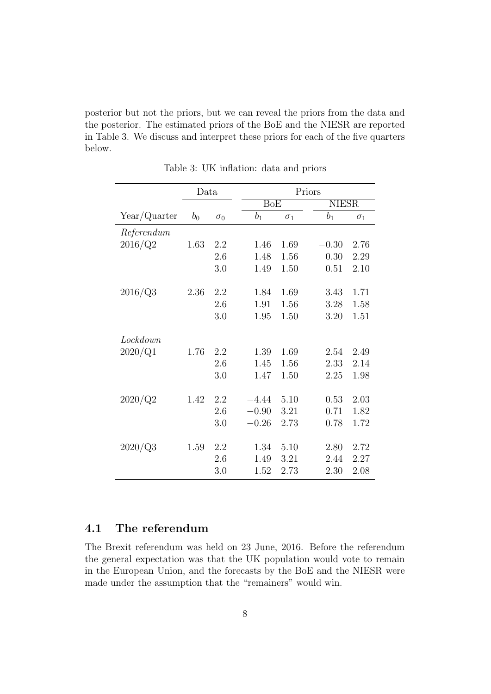posterior but not the priors, but we can reveal the priors from the data and the posterior. The estimated priors of the BoE and the NIESR are reported in Table 3. We discuss and interpret these priors for each of the five quarters below.

|              | Data  |            | Priors             |                         |         |              |  |  |
|--------------|-------|------------|--------------------|-------------------------|---------|--------------|--|--|
|              |       |            |                    | $\overline{\text{BoE}}$ |         | <b>NIESR</b> |  |  |
| Year/Quarter | $b_0$ | $\sigma_0$ | $\boldsymbol{b}_1$ | $\sigma_1$              | $b_1$   | $\sigma_1$   |  |  |
| Referendum   |       |            |                    |                         |         |              |  |  |
| 2016/Q2      | 1.63  | 2.2        | 1.46               | 1.69                    | $-0.30$ | 2.76         |  |  |
|              |       | 2.6        | 1.48               | 1.56                    | 0.30    | 2.29         |  |  |
|              |       | 3.0        | 1.49               | 1.50                    | 0.51    | 2.10         |  |  |
| 2016/Q3      | 2.36  | 2.2        | 1.84               | 1.69                    | 3.43    | 1.71         |  |  |
|              |       | 2.6        | 1.91               | 1.56                    | 3.28    | 1.58         |  |  |
|              |       | 3.0        | 1.95               | 1.50                    | 3.20    | 1.51         |  |  |
| Lockdown     |       |            |                    |                         |         |              |  |  |
| 2020/Q1      | 1.76  | 2.2        | 1.39               | 1.69                    | 2.54    | 2.49         |  |  |
|              |       | 2.6        | 1.45               | 1.56                    | 2.33    | 2.14         |  |  |
|              |       | 3.0        | 1.47               | 1.50                    | 2.25    | 1.98         |  |  |
| 2020/Q2      | 1.42  | 2.2        | $-4.44$            | 5.10                    | 0.53    | 2.03         |  |  |
|              |       | 2.6        | $-0.90$            | 3.21                    | 0.71    | 1.82         |  |  |
|              |       | 3.0        | $-0.26$            | 2.73                    | 0.78    | 1.72         |  |  |
|              |       |            |                    | 5.10                    |         |              |  |  |
| 2020/Q3      | 1.59  | 2.2        | 1.34               |                         | 2.80    | 2.72         |  |  |
|              |       | 2.6        | 1.49               | 3.21                    | 2.44    | 2.27         |  |  |
|              |       | 3.0        | 1.52               | 2.73                    | 2.30    | 2.08         |  |  |

Table 3: UK inflation: data and priors

## **4.1 The referendum**

The Brexit referendum was held on 23 June, 2016. Before the referendum the general expectation was that the UK population would vote to remain in the European Union, and the forecasts by the BoE and the NIESR were made under the assumption that the "remainers" would win.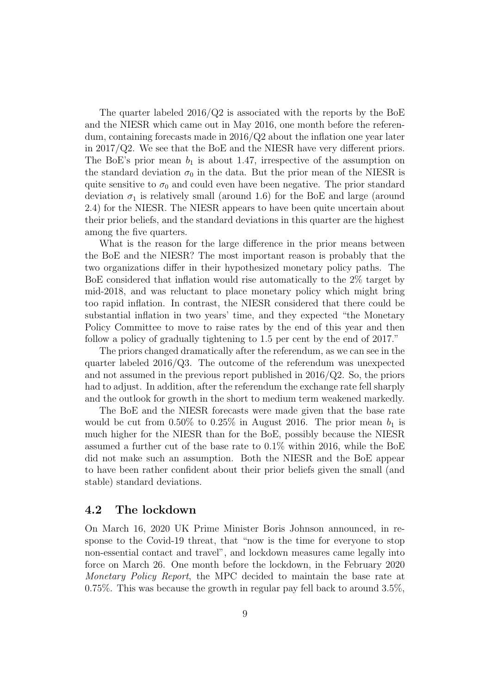The quarter labeled  $2016/Q2$  is associated with the reports by the BoE and the NIESR which came out in May 2016, one month before the referendum, containing forecasts made in 2016/Q2 about the inflation one year later in 2017/Q2. We see that the BoE and the NIESR have very different priors. The BoE's prior mean  $b_1$  is about 1.47, irrespective of the assumption on the standard deviation  $\sigma_0$  in the data. But the prior mean of the NIESR is quite sensitive to  $\sigma_0$  and could even have been negative. The prior standard deviation  $\sigma_1$  is relatively small (around 1.6) for the BoE and large (around 2.4) for the NIESR. The NIESR appears to have been quite uncertain about their prior beliefs, and the standard deviations in this quarter are the highest among the five quarters.

What is the reason for the large difference in the prior means between the BoE and the NIESR? The most important reason is probably that the two organizations differ in their hypothesized monetary policy paths. The BoE considered that inflation would rise automatically to the 2% target by mid-2018, and was reluctant to place monetary policy which might bring too rapid inflation. In contrast, the NIESR considered that there could be substantial inflation in two years' time, and they expected "the Monetary Policy Committee to move to raise rates by the end of this year and then follow a policy of gradually tightening to 1.5 per cent by the end of 2017."

The priors changed dramatically after the referendum, as we can see in the quarter labeled 2016/Q3. The outcome of the referendum was unexpected and not assumed in the previous report published in  $2016/Q2$ . So, the priors had to adjust. In addition, after the referendum the exchange rate fell sharply and the outlook for growth in the short to medium term weakened markedly.

The BoE and the NIESR forecasts were made given that the base rate would be cut from  $0.50\%$  to  $0.25\%$  in August 2016. The prior mean  $b_1$  is much higher for the NIESR than for the BoE, possibly because the NIESR assumed a further cut of the base rate to 0.1% within 2016, while the BoE did not make such an assumption. Both the NIESR and the BoE appear to have been rather confident about their prior beliefs given the small (and stable) standard deviations.

#### **4.2 The lockdown**

On March 16, 2020 UK Prime Minister Boris Johnson announced, in response to the Covid-19 threat, that "now is the time for everyone to stop non-essential contact and travel", and lockdown measures came legally into force on March 26. One month before the lockdown, in the February 2020 *Monetary Policy Report*, the MPC decided to maintain the base rate at 0.75%. This was because the growth in regular pay fell back to around 3.5%,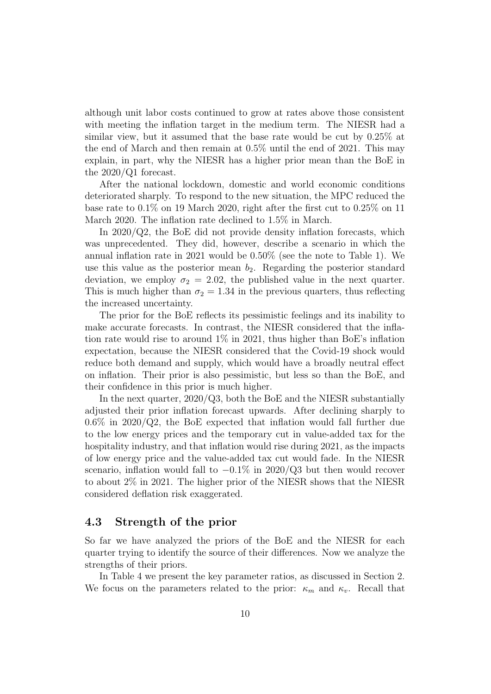although unit labor costs continued to grow at rates above those consistent with meeting the inflation target in the medium term. The NIESR had a similar view, but it assumed that the base rate would be cut by 0.25% at the end of March and then remain at 0.5% until the end of 2021. This may explain, in part, why the NIESR has a higher prior mean than the BoE in the 2020/Q1 forecast.

After the national lockdown, domestic and world economic conditions deteriorated sharply. To respond to the new situation, the MPC reduced the base rate to 0.1% on 19 March 2020, right after the first cut to 0.25% on 11 March 2020. The inflation rate declined to 1.5% in March.

In 2020/Q2, the BoE did not provide density inflation forecasts, which was unprecedented. They did, however, describe a scenario in which the annual inflation rate in 2021 would be 0.50% (see the note to Table 1). We use this value as the posterior mean  $b_2$ . Regarding the posterior standard deviation, we employ  $\sigma_2 = 2.02$ , the published value in the next quarter. This is much higher than  $\sigma_2 = 1.34$  in the previous quarters, thus reflecting the increased uncertainty.

The prior for the BoE reflects its pessimistic feelings and its inability to make accurate forecasts. In contrast, the NIESR considered that the inflation rate would rise to around  $1\%$  in 2021, thus higher than BoE's inflation expectation, because the NIESR considered that the Covid-19 shock would reduce both demand and supply, which would have a broadly neutral effect on inflation. Their prior is also pessimistic, but less so than the BoE, and their confidence in this prior is much higher.

In the next quarter, 2020/Q3, both the BoE and the NIESR substantially adjusted their prior inflation forecast upwards. After declining sharply to  $0.6\%$  in 2020/Q2, the BoE expected that inflation would fall further due to the low energy prices and the temporary cut in value-added tax for the hospitality industry, and that inflation would rise during 2021, as the impacts of low energy price and the value-added tax cut would fade. In the NIESR scenario, inflation would fall to *−*0*.*1% in 2020/Q3 but then would recover to about 2% in 2021. The higher prior of the NIESR shows that the NIESR considered deflation risk exaggerated.

### **4.3 Strength of the prior**

So far we have analyzed the priors of the BoE and the NIESR for each quarter trying to identify the source of their differences. Now we analyze the strengths of their priors.

In Table 4 we present the key parameter ratios, as discussed in Section 2. We focus on the parameters related to the prior:  $\kappa_m$  and  $\kappa_v$ . Recall that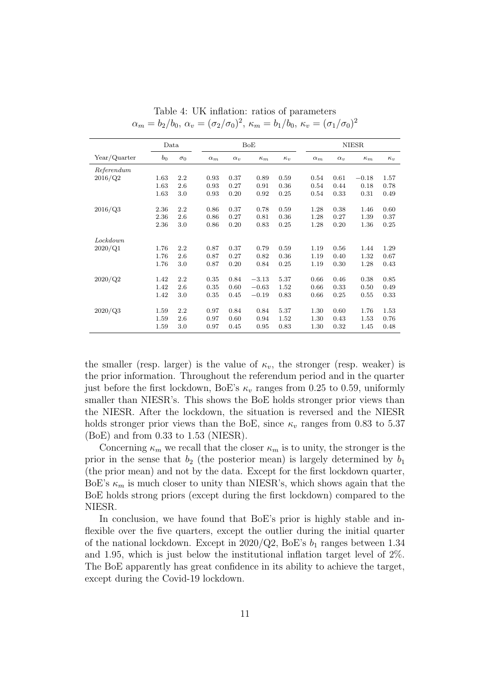|              | Data  |            |            | BoE        |            |            |            | <b>NIESR</b> |            |            |  |
|--------------|-------|------------|------------|------------|------------|------------|------------|--------------|------------|------------|--|
| Year/Quarter | $b_0$ | $\sigma_0$ | $\alpha_m$ | $\alpha_v$ | $\kappa_m$ | $\kappa_v$ | $\alpha_m$ | $\alpha_v$   | $\kappa_m$ | $\kappa_v$ |  |
| Referendum   |       |            |            |            |            |            |            |              |            |            |  |
| 2016/Q2      | 1.63  | 2.2        | 0.93       | 0.37       | 0.89       | 0.59       | 0.54       | 0.61         | $-0.18$    | 1.57       |  |
|              | 1.63  | 2.6        | 0.93       | 0.27       | 0.91       | 0.36       | 0.54       | 0.44         | 0.18       | 0.78       |  |
|              | 1.63  | 3.0        | 0.93       | 0.20       | 0.92       | 0.25       | 0.54       | 0.33         | 0.31       | 0.49       |  |
| 2016/Q3      | 2.36  | 2.2        | 0.86       | 0.37       | 0.78       | 0.59       | 1.28       | 0.38         | 1.46       | 0.60       |  |
|              | 2.36  | 2.6        | 0.86       | 0.27       | 0.81       | 0.36       | 1.28       | 0.27         | 1.39       | 0.37       |  |
|              | 2.36  | 3.0        | 0.86       | 0.20       | 0.83       | 0.25       | 1.28       | 0.20         | 1.36       | 0.25       |  |
|              |       |            |            |            |            |            |            |              |            |            |  |
| Lockdown     |       |            |            |            |            |            |            |              |            |            |  |
| 2020/Q1      | 1.76  | 2.2        | 0.87       | 0.37       | 0.79       | 0.59       | 1.19       | 0.56         | 1.44       | 1.29       |  |
|              | 1.76  | 2.6        | 0.87       | 0.27       | 0.82       | 0.36       | 1.19       | 0.40         | 1.32       | 0.67       |  |
|              | 1.76  | 3.0        | 0.87       | 0.20       | 0.84       | 0.25       | 1.19       | 0.30         | 1.28       | 0.43       |  |
|              |       |            |            |            |            |            |            |              |            |            |  |
| 2020/Q2      | 1.42  | 2.2        | 0.35       | 0.84       | $-3.13$    | 5.37       | 0.66       | 0.46         | 0.38       | 0.85       |  |
|              | 1.42  | 2.6        | 0.35       | 0.60       | $-0.63$    | 1.52       | 0.66       | 0.33         | 0.50       | 0.49       |  |
|              | 1.42  | 3.0        | 0.35       | 0.45       | $-0.19$    | 0.83       | 0.66       | 0.25         | 0.55       | 0.33       |  |
|              |       |            |            |            |            |            |            |              |            |            |  |
| 2020/Q3      | 1.59  | 2.2        | 0.97       | 0.84       | 0.84       | 5.37       | 1.30       | 0.60         | 1.76       | 1.53       |  |
|              | 1.59  | 2.6        | 0.97       | 0.60       | 0.94       | 1.52       | 1.30       | 0.43         | 1.53       | 0.76       |  |
|              | 1.59  | 3.0        | 0.97       | 0.45       | 0.95       | 0.83       | 1.30       | 0.32         | 1.45       | 0.48       |  |

Table 4: UK inflation: ratios of parameters *α*<sub>*m*</sub> = *b*<sub>2</sub>/*b*<sub>0</sub>, *α<sub><i>v*</sub> = (*σ*<sub>2</sub>/*σ*<sub>0</sub>)<sup>2</sup>, *κ*<sub>*m*</sub> = *b*<sub>1</sub>/*b*<sub>0</sub>, *κ*<sub>*v*</sub> = (*σ*<sub>1</sub>/*σ*<sub>0</sub>)<sup>2</sup>

the smaller (resp. larger) is the value of  $\kappa_v$ , the stronger (resp. weaker) is the prior information. Throughout the referendum period and in the quarter just before the first lockdown, BoE's  $\kappa_v$  ranges from 0.25 to 0.59, uniformly smaller than NIESR's. This shows the BoE holds stronger prior views than the NIESR. After the lockdown, the situation is reversed and the NIESR holds stronger prior views than the BoE, since  $\kappa_v$  ranges from 0.83 to 5.37 (BoE) and from 0.33 to 1.53 (NIESR).

Concerning  $\kappa_m$  we recall that the closer  $\kappa_m$  is to unity, the stronger is the prior in the sense that  $b_2$  (the posterior mean) is largely determined by  $b_1$ (the prior mean) and not by the data. Except for the first lockdown quarter, BoE's  $\kappa_m$  is much closer to unity than NIESR's, which shows again that the BoE holds strong priors (except during the first lockdown) compared to the NIESR.

In conclusion, we have found that BoE's prior is highly stable and inflexible over the five quarters, except the outlier during the initial quarter of the national lockdown. Except in  $2020/Q2$ , BoE's  $b_1$  ranges between 1.34 and 1.95, which is just below the institutional inflation target level of 2%. The BoE apparently has great confidence in its ability to achieve the target, except during the Covid-19 lockdown.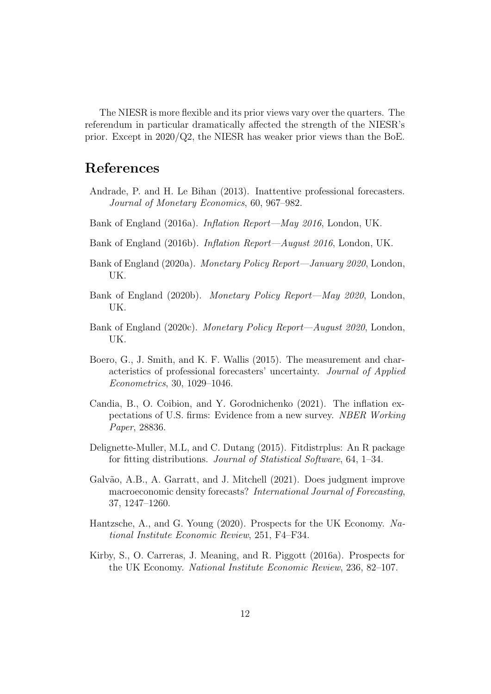The NIESR is more flexible and its prior views vary over the quarters. The referendum in particular dramatically affected the strength of the NIESR's prior. Except in 2020/Q2, the NIESR has weaker prior views than the BoE.

## **References**

- Andrade, P. and H. Le Bihan (2013). Inattentive professional forecasters. *Journal of Monetary Economics*, 60, 967–982.
- Bank of England (2016a). *Inflation Report—May 2016*, London, UK.
- Bank of England (2016b). *Inflation Report—August 2016*, London, UK.
- Bank of England (2020a). *Monetary Policy Report—January 2020*, London, UK.
- Bank of England (2020b). *Monetary Policy Report—May 2020*, London, UK.
- Bank of England (2020c). *Monetary Policy Report—August 2020*, London, UK.
- Boero, G., J. Smith, and K. F. Wallis (2015). The measurement and characteristics of professional forecasters' uncertainty. *Journal of Applied Econometrics*, 30, 1029–1046.
- Candia, B., O. Coibion, and Y. Gorodnichenko (2021). The inflation expectations of U.S. firms: Evidence from a new survey. *NBER Working Paper*, 28836.
- Delignette-Muller, M.L, and C. Dutang (2015). Fitdistrplus: An R package for fitting distributions. *Journal of Statistical Software*, 64, 1–34.
- Galvão, A.B., A. Garratt, and J. Mitchell (2021). Does judgment improve macroeconomic density forecasts? *International Journal of Forecasting*, 37, 1247–1260.
- Hantzsche, A., and G. Young (2020). Prospects for the UK Economy. *National Institute Economic Review*, 251, F4–F34.
- Kirby, S., O. Carreras, J. Meaning, and R. Piggott (2016a). Prospects for the UK Economy. *National Institute Economic Review*, 236, 82–107.